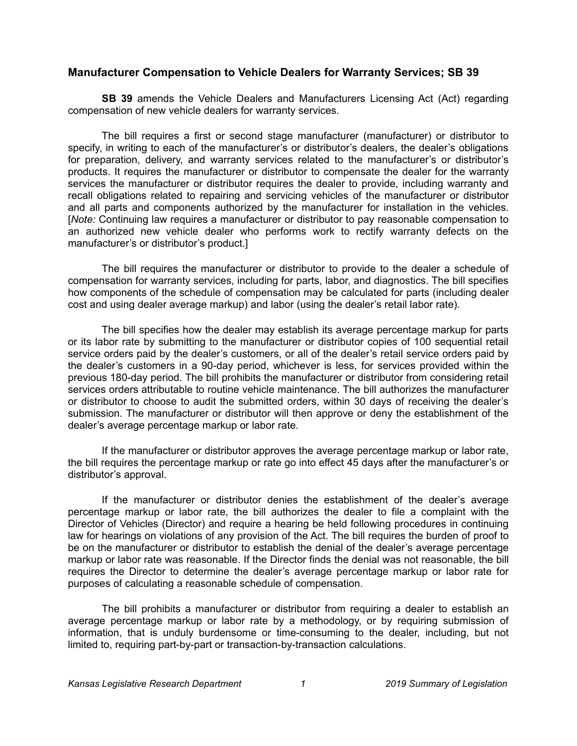## **Manufacturer Compensation to Vehicle Dealers for Warranty Services; SB 39**

**SB 39** amends the Vehicle Dealers and Manufacturers Licensing Act (Act) regarding compensation of new vehicle dealers for warranty services.

The bill requires a first or second stage manufacturer (manufacturer) or distributor to specify, in writing to each of the manufacturer's or distributor's dealers, the dealer's obligations for preparation, delivery, and warranty services related to the manufacturer's or distributor's products. It requires the manufacturer or distributor to compensate the dealer for the warranty services the manufacturer or distributor requires the dealer to provide, including warranty and recall obligations related to repairing and servicing vehicles of the manufacturer or distributor and all parts and components authorized by the manufacturer for installation in the vehicles. [*Note:* Continuing law requires a manufacturer or distributor to pay reasonable compensation to an authorized new vehicle dealer who performs work to rectify warranty defects on the manufacturer's or distributor's product.]

The bill requires the manufacturer or distributor to provide to the dealer a schedule of compensation for warranty services, including for parts, labor, and diagnostics. The bill specifies how components of the schedule of compensation may be calculated for parts (including dealer cost and using dealer average markup) and labor (using the dealer's retail labor rate).

The bill specifies how the dealer may establish its average percentage markup for parts or its labor rate by submitting to the manufacturer or distributor copies of 100 sequential retail service orders paid by the dealer's customers, or all of the dealer's retail service orders paid by the dealer's customers in a 90-day period, whichever is less, for services provided within the previous 180-day period. The bill prohibits the manufacturer or distributor from considering retail services orders attributable to routine vehicle maintenance. The bill authorizes the manufacturer or distributor to choose to audit the submitted orders, within 30 days of receiving the dealer's submission. The manufacturer or distributor will then approve or deny the establishment of the dealer's average percentage markup or labor rate.

If the manufacturer or distributor approves the average percentage markup or labor rate, the bill requires the percentage markup or rate go into effect 45 days after the manufacturer's or distributor's approval.

If the manufacturer or distributor denies the establishment of the dealer's average percentage markup or labor rate, the bill authorizes the dealer to file a complaint with the Director of Vehicles (Director) and require a hearing be held following procedures in continuing law for hearings on violations of any provision of the Act. The bill requires the burden of proof to be on the manufacturer or distributor to establish the denial of the dealer's average percentage markup or labor rate was reasonable. If the Director finds the denial was not reasonable, the bill requires the Director to determine the dealer's average percentage markup or labor rate for purposes of calculating a reasonable schedule of compensation.

The bill prohibits a manufacturer or distributor from requiring a dealer to establish an average percentage markup or labor rate by a methodology, or by requiring submission of information, that is unduly burdensome or time-consuming to the dealer, including, but not limited to, requiring part-by-part or transaction-by-transaction calculations.